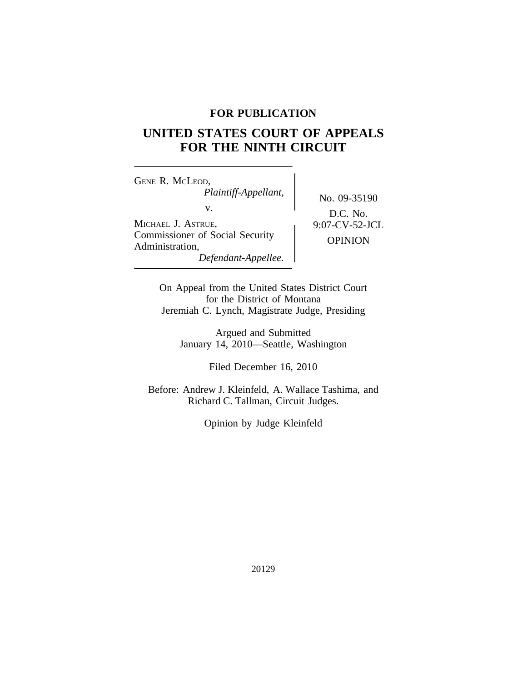## **FOR PUBLICATION**

# **UNITED STATES COURT OF APPEALS FOR THE NINTH CIRCUIT**

<sup>G</sup>ENE R. MCLEOD, *Plaintiff-Appellant,* No. 09-35190<br>v. D.G. N. MICHAEL J. ASTRUE,  $9:07-CV-52-JCL$ Commissioner of Social Security OPINION Administration, *Defendant-Appellee.*

D.C. No.

On Appeal from the United States District Court for the District of Montana Jeremiah C. Lynch, Magistrate Judge, Presiding

Argued and Submitted January 14, 2010—Seattle, Washington

Filed December 16, 2010

Before: Andrew J. Kleinfeld, A. Wallace Tashima, and Richard C. Tallman, Circuit Judges.

Opinion by Judge Kleinfeld

20129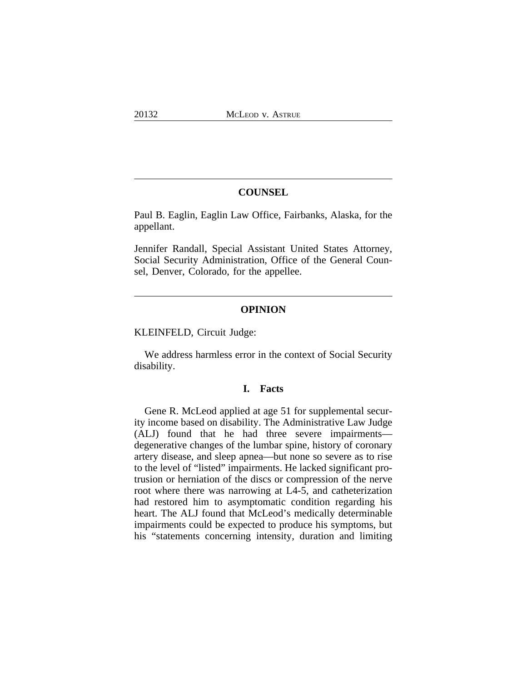#### **COUNSEL**

Paul B. Eaglin, Eaglin Law Office, Fairbanks, Alaska, for the appellant.

Jennifer Randall, Special Assistant United States Attorney, Social Security Administration, Office of the General Counsel, Denver, Colorado, for the appellee.

#### **OPINION**

KLEINFELD, Circuit Judge:

We address harmless error in the context of Social Security disability.

### **I. Facts**

Gene R. McLeod applied at age 51 for supplemental security income based on disability. The Administrative Law Judge (ALJ) found that he had three severe impairments degenerative changes of the lumbar spine, history of coronary artery disease, and sleep apnea—but none so severe as to rise to the level of "listed" impairments. He lacked significant protrusion or herniation of the discs or compression of the nerve root where there was narrowing at L4-5, and catheterization had restored him to asymptomatic condition regarding his heart. The ALJ found that McLeod's medically determinable impairments could be expected to produce his symptoms, but his "statements concerning intensity, duration and limiting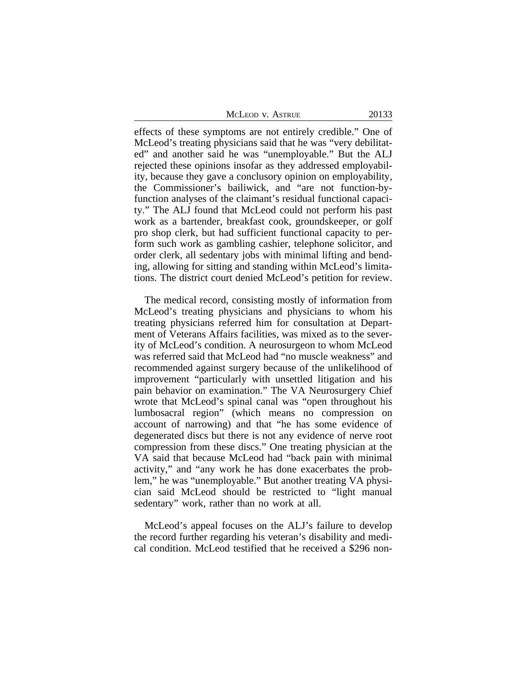| McLeod v. Astrue |
|------------------|
|------------------|

effects of these symptoms are not entirely credible." One of McLeod's treating physicians said that he was "very debilitated" and another said he was "unemployable." But the ALJ rejected these opinions insofar as they addressed employability, because they gave a conclusory opinion on employability, the Commissioner's bailiwick, and "are not function-byfunction analyses of the claimant's residual functional capacity." The ALJ found that McLeod could not perform his past work as a bartender, breakfast cook, groundskeeper, or golf pro shop clerk, but had sufficient functional capacity to perform such work as gambling cashier, telephone solicitor, and order clerk, all sedentary jobs with minimal lifting and bending, allowing for sitting and standing within McLeod's limitations. The district court denied McLeod's petition for review.

The medical record, consisting mostly of information from McLeod's treating physicians and physicians to whom his treating physicians referred him for consultation at Department of Veterans Affairs facilities, was mixed as to the severity of McLeod's condition. A neurosurgeon to whom McLeod was referred said that McLeod had "no muscle weakness" and recommended against surgery because of the unlikelihood of improvement "particularly with unsettled litigation and his pain behavior on examination." The VA Neurosurgery Chief wrote that McLeod's spinal canal was "open throughout his lumbosacral region" (which means no compression on account of narrowing) and that "he has some evidence of degenerated discs but there is not any evidence of nerve root compression from these discs." One treating physician at the VA said that because McLeod had "back pain with minimal activity," and "any work he has done exacerbates the problem," he was "unemployable." But another treating VA physician said McLeod should be restricted to "light manual sedentary" work, rather than no work at all.

McLeod's appeal focuses on the ALJ's failure to develop the record further regarding his veteran's disability and medical condition. McLeod testified that he received a \$296 non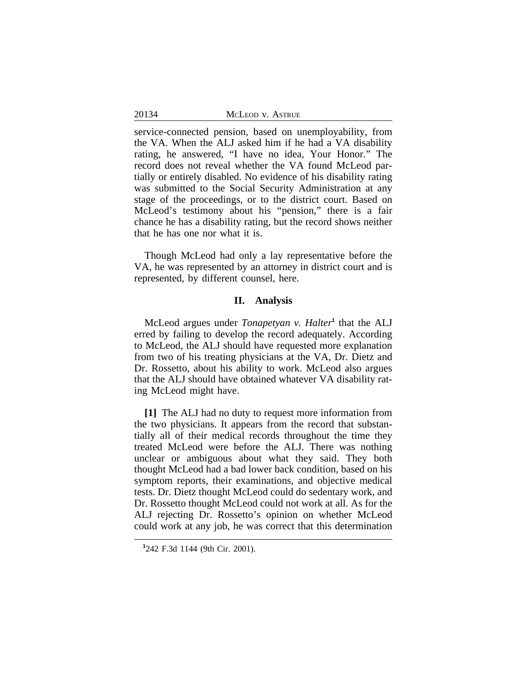service-connected pension, based on unemployability, from the VA. When the ALJ asked him if he had a VA disability rating, he answered, "I have no idea, Your Honor." The record does not reveal whether the VA found McLeod partially or entirely disabled. No evidence of his disability rating was submitted to the Social Security Administration at any stage of the proceedings, or to the district court. Based on McLeod's testimony about his "pension," there is a fair chance he has a disability rating, but the record shows neither that he has one nor what it is.

Though McLeod had only a lay representative before the VA, he was represented by an attorney in district court and is represented, by different counsel, here.

#### **II. Analysis**

McLeod argues under *Tonapetyan v. Halter*<sup>1</sup> that the ALJ erred by failing to develop the record adequately. According to McLeod, the ALJ should have requested more explanation from two of his treating physicians at the VA, Dr. Dietz and Dr. Rossetto, about his ability to work. McLeod also argues that the ALJ should have obtained whatever VA disability rating McLeod might have.

**[1]** The ALJ had no duty to request more information from the two physicians. It appears from the record that substantially all of their medical records throughout the time they treated McLeod were before the ALJ. There was nothing unclear or ambiguous about what they said. They both thought McLeod had a bad lower back condition, based on his symptom reports, their examinations, and objective medical tests. Dr. Dietz thought McLeod could do sedentary work, and Dr. Rossetto thought McLeod could not work at all. As for the ALJ rejecting Dr. Rossetto's opinion on whether McLeod could work at any job, he was correct that this determination

**<sup>1</sup>** 242 F.3d 1144 (9th Cir. 2001).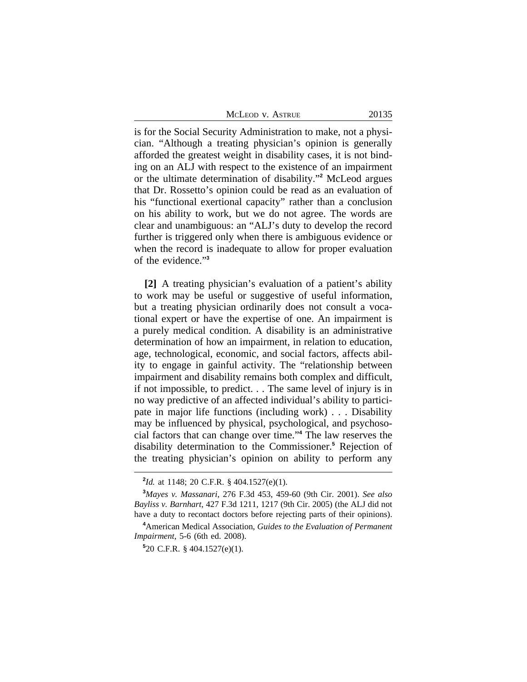McLeod v. Astrue 20135

is for the Social Security Administration to make, not a physician. "Although a treating physician's opinion is generally afforded the greatest weight in disability cases, it is not binding on an ALJ with respect to the existence of an impairment or the ultimate determination of disability." **2** McLeod argues that Dr. Rossetto's opinion could be read as an evaluation of his "functional exertional capacity" rather than a conclusion on his ability to work, but we do not agree. The words are clear and unambiguous: an "ALJ's duty to develop the record further is triggered only when there is ambiguous evidence or when the record is inadequate to allow for proper evaluation of the evidence." **3**

**[2]** A treating physician's evaluation of a patient's ability to work may be useful or suggestive of useful information, but a treating physician ordinarily does not consult a vocational expert or have the expertise of one. An impairment is a purely medical condition. A disability is an administrative determination of how an impairment, in relation to education, age, technological, economic, and social factors, affects ability to engage in gainful activity. The "relationship between impairment and disability remains both complex and difficult, if not impossible, to predict. . . The same level of injury is in no way predictive of an affected individual's ability to participate in major life functions (including work) . . . Disability may be influenced by physical, psychological, and psychosocial factors that can change over time." **4** The law reserves the disability determination to the Commissioner.**<sup>5</sup>** Rejection of the treating physician's opinion on ability to perform any

**<sup>2</sup>** *Id.* at 1148; 20 C.F.R. § 404.1527(e)(1).

**<sup>3</sup>***Mayes v. Massanari*, 276 F.3d 453, 459-60 (9th Cir. 2001). *See also Bayliss v. Barnhart*, 427 F.3d 1211, 1217 (9th Cir. 2005) (the ALJ did not have a duty to recontact doctors before rejecting parts of their opinions).

**<sup>4</sup>**American Medical Association, *Guides to the Evaluation of Permanent Impairment*, 5-6 (6th ed. 2008).

**<sup>5</sup>** 20 C.F.R. § 404.1527(e)(1).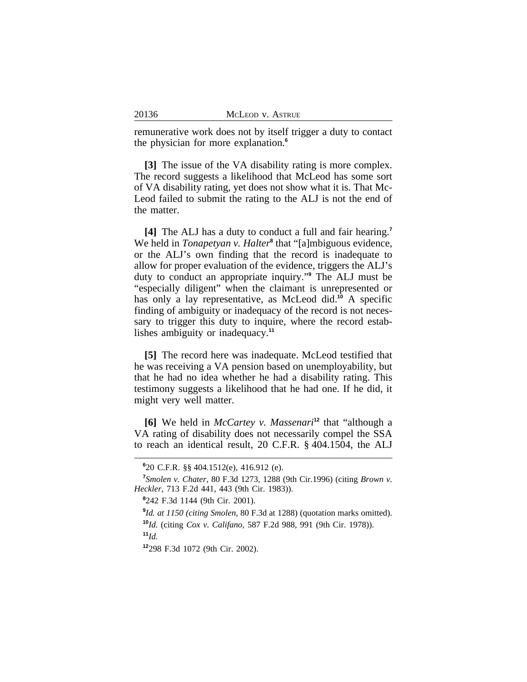remunerative work does not by itself trigger a duty to contact the physician for more explanation.**<sup>6</sup>**

**[3]** The issue of the VA disability rating is more complex. The record suggests a likelihood that McLeod has some sort of VA disability rating, yet does not show what it is. That Mc-Leod failed to submit the rating to the ALJ is not the end of the matter.

**[4]** The ALJ has a duty to conduct a full and fair hearing.**<sup>7</sup>** We held in *Tonapetyan v. Halter*<sup>8</sup> that "[a]mbiguous evidence, or the ALJ's own finding that the record is inadequate to allow for proper evaluation of the evidence, triggers the ALJ's duty to conduct an appropriate inquiry." **9** The ALJ must be "especially diligent" when the claimant is unrepresented or has only a lay representative, as McLeod did.<sup>10</sup> A specific finding of ambiguity or inadequacy of the record is not necessary to trigger this duty to inquire, where the record establishes ambiguity or inadequacy.**<sup>11</sup>**

**[5]** The record here was inadequate. McLeod testified that he was receiving a VA pension based on unemployability, but that he had no idea whether he had a disability rating. This testimony suggests a likelihood that he had one. If he did, it might very well matter.

**[6]** We held in *McCartey v. Massenari***<sup>12</sup>** that "although a VA rating of disability does not necessarily compel the SSA to reach an identical result, 20 C.F.R. § 404.1504, the ALJ

**8** 242 F.3d 1144 (9th Cir. 2001).

**<sup>12</sup>**298 F.3d 1072 (9th Cir. 2002).

**<sup>6</sup>** 20 C.F.R. §§ 404.1512(e), 416.912 (e).

**<sup>7</sup>** *Smolen v. Chater*, 80 F.3d 1273, 1288 (9th Cir.1996) (citing *Brown v. Heckler*, 713 F.2d 441, 443 (9th Cir. 1983)).

**<sup>9</sup>** *Id. at 1150 (citing Smolen*, 80 F.3d at 1288) (quotation marks omitted). **<sup>10</sup>***Id.* (citing *Cox v. Califano*, 587 F.2d 988, 991 (9th Cir. 1978)). **<sup>11</sup>***Id.*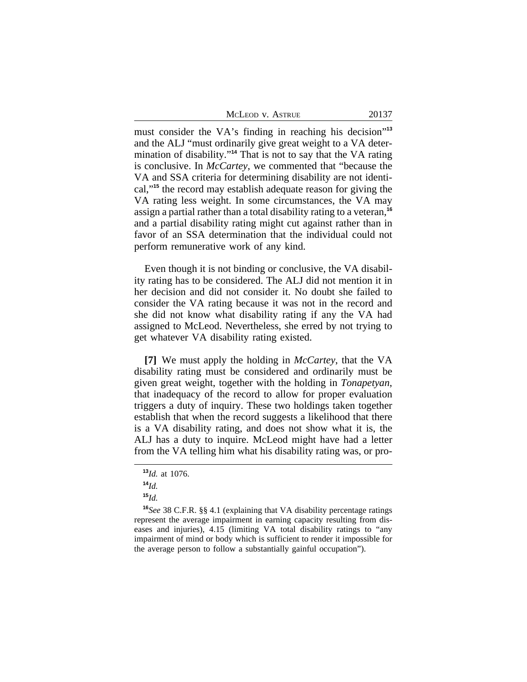| McLeod v. Astrue |  |  |
|------------------|--|--|
|------------------|--|--|

must consider the VA's finding in reaching his decision"<sup>13</sup> and the ALJ "must ordinarily give great weight to a VA determination of disability." **<sup>14</sup>** That is not to say that the VA rating is conclusive. In *McCartey*, we commented that "because the VA and SSA criteria for determining disability are not identical,"**<sup>15</sup>** the record may establish adequate reason for giving the VA rating less weight. In some circumstances, the VA may assign a partial rather than a total disability rating to a veteran,**<sup>16</sup>** and a partial disability rating might cut against rather than in favor of an SSA determination that the individual could not perform remunerative work of any kind.

Even though it is not binding or conclusive, the VA disability rating has to be considered. The ALJ did not mention it in her decision and did not consider it. No doubt she failed to consider the VA rating because it was not in the record and she did not know what disability rating if any the VA had assigned to McLeod. Nevertheless, she erred by not trying to get whatever VA disability rating existed.

**[7]** We must apply the holding in *McCartey*, that the VA disability rating must be considered and ordinarily must be given great weight, together with the holding in *Tonapetyan*, that inadequacy of the record to allow for proper evaluation triggers a duty of inquiry. These two holdings taken together establish that when the record suggests a likelihood that there is a VA disability rating, and does not show what it is, the ALJ has a duty to inquire. McLeod might have had a letter from the VA telling him what his disability rating was, or pro-

**<sup>13</sup>***Id.* at 1076.

**<sup>14</sup>***Id.*

**<sup>15</sup>***Id.*

**<sup>16</sup>***See* 38 C.F.R. §§ 4.1 (explaining that VA disability percentage ratings represent the average impairment in earning capacity resulting from diseases and injuries), 4.15 (limiting VA total disability ratings to "any impairment of mind or body which is sufficient to render it impossible for the average person to follow a substantially gainful occupation").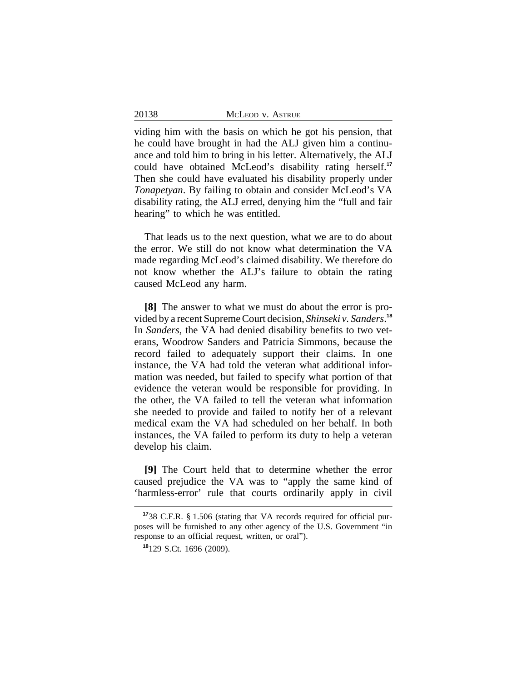viding him with the basis on which he got his pension, that he could have brought in had the ALJ given him a continuance and told him to bring in his letter. Alternatively, the ALJ could have obtained McLeod's disability rating herself.**<sup>17</sup>** Then she could have evaluated his disability properly under *Tonapetyan*. By failing to obtain and consider McLeod's VA disability rating, the ALJ erred, denying him the "full and fair hearing" to which he was entitled.

That leads us to the next question, what we are to do about the error. We still do not know what determination the VA made regarding McLeod's claimed disability. We therefore do not know whether the ALJ's failure to obtain the rating caused McLeod any harm.

**[8]** The answer to what we must do about the error is provided by a recent Supreme Court decision, *Shinseki v. Sanders*. **18** In *Sanders*, the VA had denied disability benefits to two veterans, Woodrow Sanders and Patricia Simmons, because the record failed to adequately support their claims. In one instance, the VA had told the veteran what additional information was needed, but failed to specify what portion of that evidence the veteran would be responsible for providing. In the other, the VA failed to tell the veteran what information she needed to provide and failed to notify her of a relevant medical exam the VA had scheduled on her behalf. In both instances, the VA failed to perform its duty to help a veteran develop his claim.

**[9]** The Court held that to determine whether the error caused prejudice the VA was to "apply the same kind of 'harmless-error' rule that courts ordinarily apply in civil

**<sup>17</sup>**38 C.F.R. § 1.506 (stating that VA records required for official purposes will be furnished to any other agency of the U.S. Government "in response to an official request, written, or oral").

**<sup>18</sup>**129 S.Ct. 1696 (2009).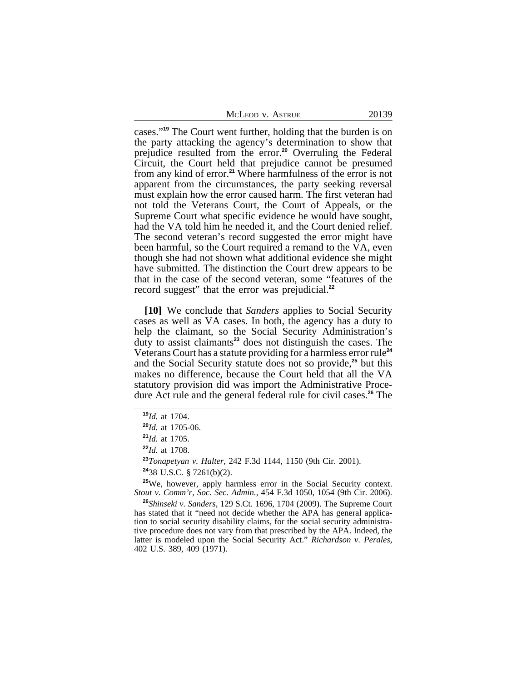| MCLEOD V. ASTRUE | 20139 |
|------------------|-------|
|------------------|-------|

cases."**<sup>19</sup>** The Court went further, holding that the burden is on the party attacking the agency's determination to show that prejudice resulted from the error.**<sup>20</sup>** Overruling the Federal Circuit, the Court held that prejudice cannot be presumed from any kind of error.**<sup>21</sup>** Where harmfulness of the error is not apparent from the circumstances, the party seeking reversal must explain how the error caused harm. The first veteran had not told the Veterans Court, the Court of Appeals, or the Supreme Court what specific evidence he would have sought, had the VA told him he needed it, and the Court denied relief. The second veteran's record suggested the error might have been harmful, so the Court required a remand to the  $\overline{VA}$ , even though she had not shown what additional evidence she might have submitted. The distinction the Court drew appears to be that in the case of the second veteran, some "features of the record suggest" that the error was prejudicial.**<sup>22</sup>**

**[10]** We conclude that *Sanders* applies to Social Security cases as well as VA cases. In both, the agency has a duty to help the claimant, so the Social Security Administration's duty to assist claimants**<sup>23</sup>** does not distinguish the cases. The Veterans Court has a statute providing for a harmless error rule**<sup>24</sup>** and the Social Security statute does not so provide,**<sup>25</sup>** but this makes no difference, because the Court held that all the VA statutory provision did was import the Administrative Procedure Act rule and the general federal rule for civil cases.**<sup>26</sup>** The

**<sup>23</sup>***Tonapetyan v. Halter*, 242 F.3d 1144, 1150 (9th Cir. 2001).

**<sup>25</sup>**We, however, apply harmless error in the Social Security context. *Stout v. Comm'r, Soc. Sec. Admin.*, 454 F.3d 1050, 1054 (9th Cir. 2006).

**<sup>26</sup>***Shinseki v. Sanders*, 129 S.Ct. 1696, 1704 (2009). The Supreme Court has stated that it "need not decide whether the APA has general application to social security disability claims, for the social security administrative procedure does not vary from that prescribed by the APA. Indeed, the latter is modeled upon the Social Security Act." *Richardson v. Perales*, 402 U.S. 389, 409 (1971).

**<sup>19</sup>***Id.* at 1704.

**<sup>20</sup>***Id.* at 1705-06.

**<sup>21</sup>***Id.* at 1705.

**<sup>22</sup>***Id.* at 1708.

**<sup>24</sup>**38 U.S.C. § 7261(b)(2).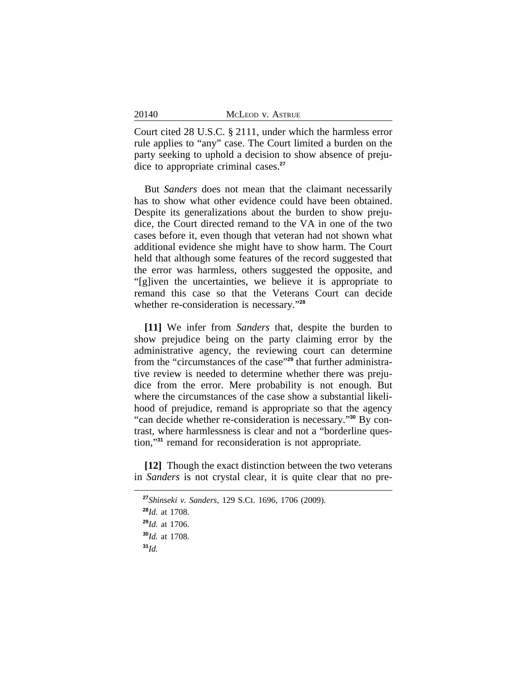| 20140 | MCLEOD V. ASTRUE |
|-------|------------------|
|       |                  |

Court cited 28 U.S.C. § 2111, under which the harmless error rule applies to "any" case. The Court limited a burden on the party seeking to uphold a decision to show absence of prejudice to appropriate criminal cases.**<sup>27</sup>**

But *Sanders* does not mean that the claimant necessarily has to show what other evidence could have been obtained. Despite its generalizations about the burden to show prejudice, the Court directed remand to the VA in one of the two cases before it, even though that veteran had not shown what additional evidence she might have to show harm. The Court held that although some features of the record suggested that the error was harmless, others suggested the opposite, and "[g]iven the uncertainties, we believe it is appropriate to remand this case so that the Veterans Court can decide whether re-consideration is necessary." **28**

**[11]** We infer from *Sanders* that, despite the burden to show prejudice being on the party claiming error by the administrative agency, the reviewing court can determine from the "circumstances of the case" **29** that further administrative review is needed to determine whether there was prejudice from the error. Mere probability is not enough. But where the circumstances of the case show a substantial likelihood of prejudice, remand is appropriate so that the agency "can decide whether re-consideration is necessary." **30** By contrast, where harmlessness is clear and not a "borderline question,"**<sup>31</sup>** remand for reconsideration is not appropriate.

**[12]** Though the exact distinction between the two veterans in *Sanders* is not crystal clear, it is quite clear that no pre-

**<sup>27</sup>***Shinseki v. Sanders*, 129 S.Ct. 1696, 1706 (2009).

**<sup>28</sup>***Id.* at 1708.

**<sup>29</sup>***Id.* at 1706.

**<sup>30</sup>***Id.* at 1708.

**<sup>31</sup>***Id.*